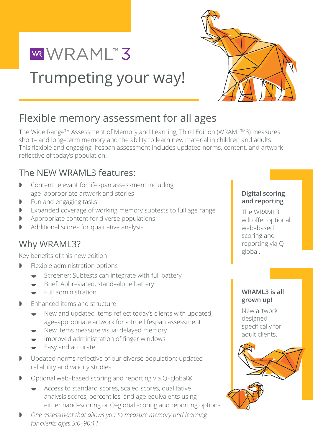

Trumpeting your way!

# Flexible memory assessment for all ages

The Wide Range™ Assessment of Memory and Learning, Third Edition (WRAML™3) measures short– and long–term memory and the ability to learn new material in children and adults. This flexible and engaging lifespan assessment includes updated norms, content, and artwork reflective of today's population.

# The NEW WRAML3 features:

WRAML"3

- I Content relevant for lifespan assessment including<br>
age agencies attuark and statics age–appropriate artwork and stories
- **The Memory and Assessment of Memory and Learning, Third Edition (WRAMLTM3) measures short- and reporting**
- **D** Expanded coverage of working memory subtests to full age range  $\blacksquare$  The WRAMI 3
- **D** Appropriate content for diverse populations **Container are article of the set of the vill offer of the set of today's populations and article of the vill offer of the set of the set of the set of the set of the set of**
- Additional scores for qualitative analysis

# Why WRAML3?

Key benefits of this new edition

- $\blacktriangleright$  Flexible administration options
	- endi. Jubes and distribution Screener: Subtests can integrate with full battery
	- **■** Brief: Abbreviated, stand–alone battery
	- $\bullet$  Full administration memory subtests to full agencies to full agencies to full agencies to full agencies to full agencies to full agencies to full agencies to full agencies to full agencies to full agencies to full ag
- **Fanhanced items and structure** 
	- New and updated items reflect today's clients with updated, age–appropriate artwork for a true lifespan assessment
	- New items measure visual delayed memory
	- **When** Improved administration of finger windows
	- $\bullet$  Easy and accurate
- **•** Updated norms reflective of our diverse population; updated reliability and validity studies
- $\triangleright$  Optional web–based scoring and reporting via Q–global®
	- $\bullet$  Access to standard scores, scaled scores, qualitative either hand–scoring or Q–global scoring and reporting options analysis scores, percentiles, and age equivalents using
- age-appropriate artwork for a true lifespan assessment **• One assessment that allows you to measure memory and learning**<br>*Constitutions* **area 5:0, 00:11**  $\theta$ <sup>2</sup> *for clients ages 5:0–90:11*

#### **Digital scoring and reporting**

The WRAML3 will offer optional web–based scoring and reporting via Q– global.

### **WRAML3 is all grown up!**

**Digital scoring and reporting**  The WRAML3 will offer optional New artwork designed specifically for adult clients.

web-based scoring and